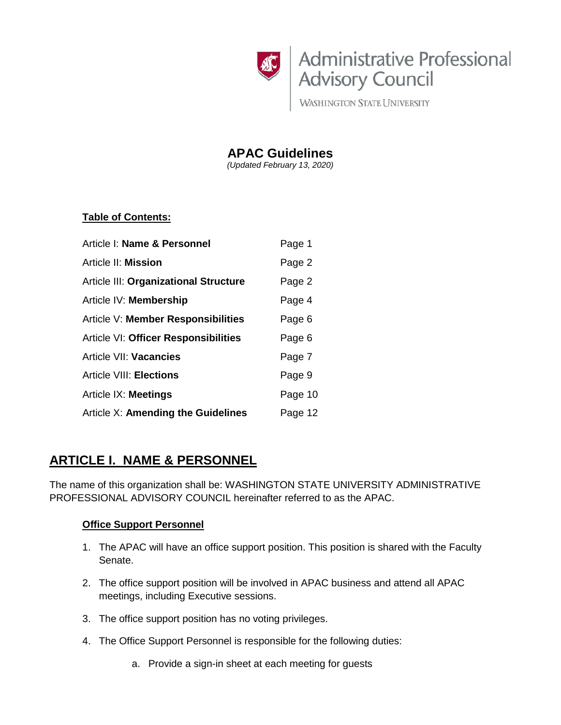

**WASHINGTON STATE UNIVERSITY** 

**APAC Guidelines**

*(Updated February 13, 2020)*

## **Table of Contents:**

| Article I: Name & Personnel           | Page 1  |
|---------------------------------------|---------|
| Article II: Mission                   | Page 2  |
| Article III: Organizational Structure | Page 2  |
| Article IV: Membership                | Page 4  |
| Article V: Member Responsibilities    | Page 6  |
| Article VI: Officer Responsibilities  | Page 6  |
| Article VII: Vacancies                | Page 7  |
| <b>Article VIII: Elections</b>        | Page 9  |
| Article IX: Meetings                  | Page 10 |
| Article X: Amending the Guidelines    | Page 12 |

# **ARTICLE I. NAME & PERSONNEL**

The name of this organization shall be: WASHINGTON STATE UNIVERSITY ADMINISTRATIVE PROFESSIONAL ADVISORY COUNCIL hereinafter referred to as the APAC.

## **Office Support Personnel**

- 1. The APAC will have an office support position. This position is shared with the Faculty Senate.
- 2. The office support position will be involved in APAC business and attend all APAC meetings, including Executive sessions.
- 3. The office support position has no voting privileges.
- 4. The Office Support Personnel is responsible for the following duties:
	- a. Provide a sign-in sheet at each meeting for guests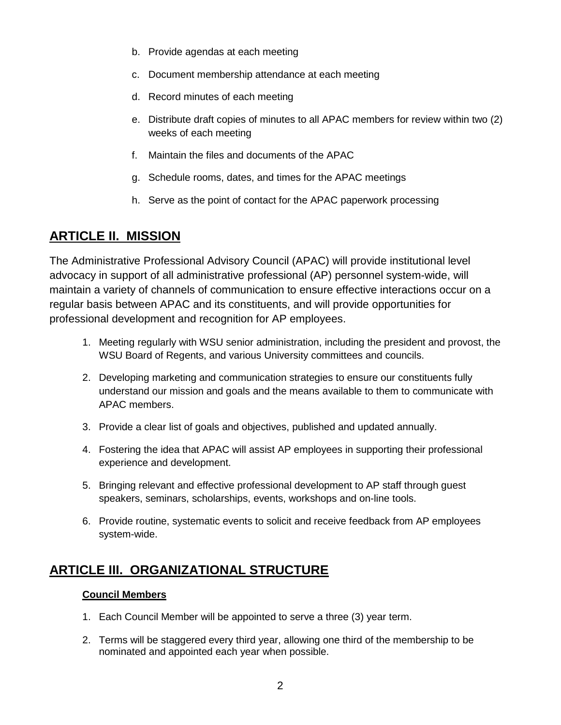- b. Provide agendas at each meeting
- c. Document membership attendance at each meeting
- d. Record minutes of each meeting
- e. Distribute draft copies of minutes to all APAC members for review within two (2) weeks of each meeting
- f. Maintain the files and documents of the APAC
- g. Schedule rooms, dates, and times for the APAC meetings
- h. Serve as the point of contact for the APAC paperwork processing

# **ARTICLE II. MISSION**

The Administrative Professional Advisory Council (APAC) will provide institutional level advocacy in support of all administrative professional (AP) personnel system-wide, will maintain a variety of channels of communication to ensure effective interactions occur on a regular basis between APAC and its constituents, and will provide opportunities for professional development and recognition for AP employees.

- 1. Meeting regularly with WSU senior administration, including the president and provost, the WSU Board of Regents, and various University committees and councils.
- 2. Developing marketing and communication strategies to ensure our constituents fully understand our mission and goals and the means available to them to communicate with APAC members.
- 3. Provide a clear list of goals and objectives, published and updated annually.
- 4. Fostering the idea that APAC will assist AP employees in supporting their professional experience and development.
- 5. Bringing relevant and effective professional development to AP staff through guest speakers, seminars, scholarships, events, workshops and on-line tools.
- 6. Provide routine, systematic events to solicit and receive feedback from AP employees system-wide.

# **ARTICLE III. ORGANIZATIONAL STRUCTURE**

### **Council Members**

- 1. Each Council Member will be appointed to serve a three (3) year term.
- 2. Terms will be staggered every third year, allowing one third of the membership to be nominated and appointed each year when possible.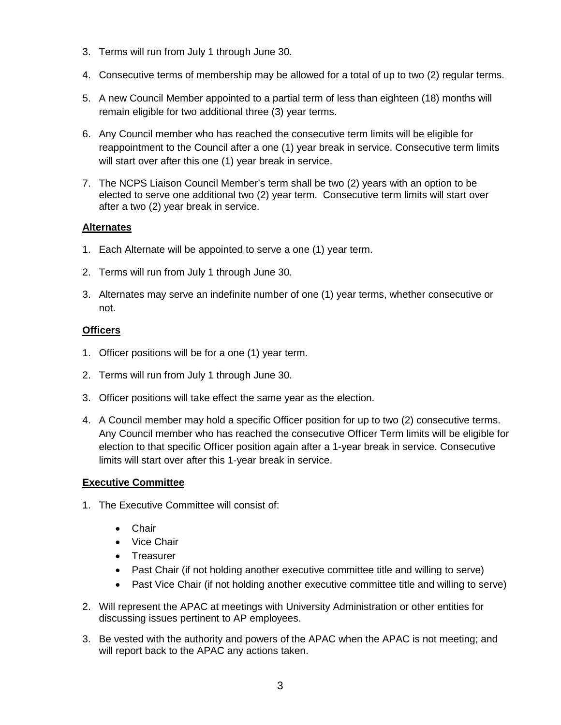- 3. Terms will run from July 1 through June 30.
- 4. Consecutive terms of membership may be allowed for a total of up to two (2) regular terms.
- 5. A new Council Member appointed to a partial term of less than eighteen (18) months will remain eligible for two additional three (3) year terms.
- 6. Any Council member who has reached the consecutive term limits will be eligible for reappointment to the Council after a one (1) year break in service. Consecutive term limits will start over after this one (1) year break in service.
- 7. The NCPS Liaison Council Member's term shall be two (2) years with an option to be elected to serve one additional two (2) year term. Consecutive term limits will start over after a two (2) year break in service.

### **Alternates**

- 1. Each Alternate will be appointed to serve a one (1) year term.
- 2. Terms will run from July 1 through June 30.
- 3. Alternates may serve an indefinite number of one (1) year terms, whether consecutive or not.

### **Officers**

- 1. Officer positions will be for a one (1) year term.
- 2. Terms will run from July 1 through June 30.
- 3. Officer positions will take effect the same year as the election.
- 4. A Council member may hold a specific Officer position for up to two (2) consecutive terms. Any Council member who has reached the consecutive Officer Term limits will be eligible for election to that specific Officer position again after a 1-year break in service. Consecutive limits will start over after this 1-year break in service.

### **Executive Committee**

- 1. The Executive Committee will consist of:
	- Chair
	- Vice Chair
	- Treasurer
	- Past Chair (if not holding another executive committee title and willing to serve)
	- Past Vice Chair (if not holding another executive committee title and willing to serve)
- 2. Will represent the APAC at meetings with University Administration or other entities for discussing issues pertinent to AP employees.
- 3. Be vested with the authority and powers of the APAC when the APAC is not meeting; and will report back to the APAC any actions taken.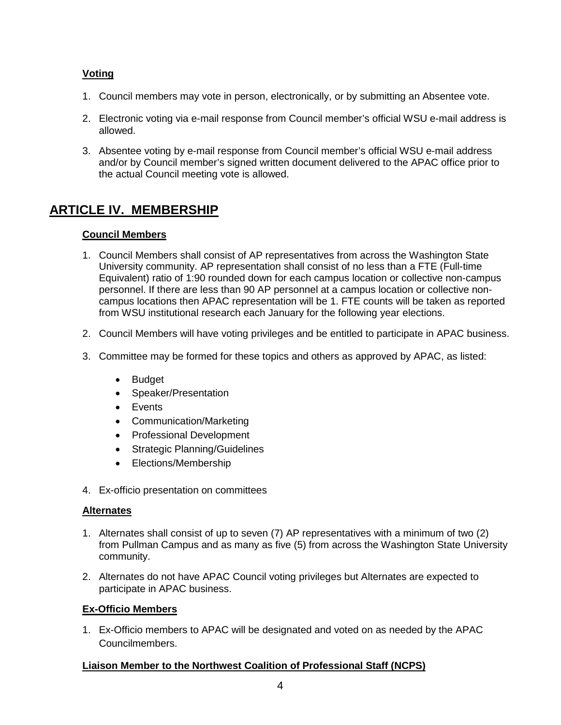## **Voting**

- 1. Council members may vote in person, electronically, or by submitting an Absentee vote.
- 2. Electronic voting via e-mail response from Council member's official WSU e-mail address is allowed.
- 3. Absentee voting by e-mail response from Council member's official WSU e-mail address and/or by Council member's signed written document delivered to the APAC office prior to the actual Council meeting vote is allowed.

# **ARTICLE IV. MEMBERSHIP**

## **Council Members**

- 1. Council Members shall consist of AP representatives from across the Washington State University community. AP representation shall consist of no less than a FTE (Full-time Equivalent) ratio of 1:90 rounded down for each campus location or collective non-campus personnel. If there are less than 90 AP personnel at a campus location or collective noncampus locations then APAC representation will be 1. FTE counts will be taken as reported from WSU institutional research each January for the following year elections.
- 2. Council Members will have voting privileges and be entitled to participate in APAC business.
- 3. Committee may be formed for these topics and others as approved by APAC, as listed:
	- Budget
	- Speaker/Presentation
	- Events
	- Communication/Marketing
	- Professional Development
	- Strategic Planning/Guidelines
	- Elections/Membership
- 4. Ex-officio presentation on committees

### **Alternates**

- 1. Alternates shall consist of up to seven (7) AP representatives with a minimum of two (2) from Pullman Campus and as many as five (5) from across the Washington State University community.
- 2. Alternates do not have APAC Council voting privileges but Alternates are expected to participate in APAC business.

### **Ex-Officio Members**

1. Ex-Officio members to APAC will be designated and voted on as needed by the APAC Councilmembers.

### **Liaison Member to the Northwest Coalition of Professional Staff (NCPS)**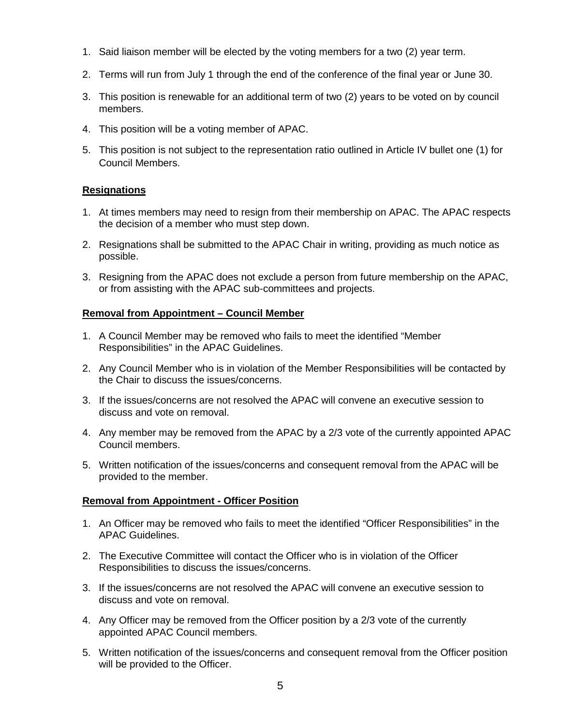- 1. Said liaison member will be elected by the voting members for a two (2) year term.
- 2. Terms will run from July 1 through the end of the conference of the final year or June 30.
- 3. This position is renewable for an additional term of two (2) years to be voted on by council members.
- 4. This position will be a voting member of APAC.
- 5. This position is not subject to the representation ratio outlined in Article IV bullet one (1) for Council Members.

### **Resignations**

- 1. At times members may need to resign from their membership on APAC. The APAC respects the decision of a member who must step down.
- 2. Resignations shall be submitted to the APAC Chair in writing, providing as much notice as possible.
- 3. Resigning from the APAC does not exclude a person from future membership on the APAC, or from assisting with the APAC sub-committees and projects.

### **Removal from Appointment – Council Member**

- 1. A Council Member may be removed who fails to meet the identified "Member Responsibilities" in the APAC Guidelines.
- 2. Any Council Member who is in violation of the Member Responsibilities will be contacted by the Chair to discuss the issues/concerns.
- 3. If the issues/concerns are not resolved the APAC will convene an executive session to discuss and vote on removal.
- 4. Any member may be removed from the APAC by a 2/3 vote of the currently appointed APAC Council members.
- 5. Written notification of the issues/concerns and consequent removal from the APAC will be provided to the member.

### **Removal from Appointment - Officer Position**

- 1. An Officer may be removed who fails to meet the identified "Officer Responsibilities" in the APAC Guidelines.
- 2. The Executive Committee will contact the Officer who is in violation of the Officer Responsibilities to discuss the issues/concerns.
- 3. If the issues/concerns are not resolved the APAC will convene an executive session to discuss and vote on removal.
- 4. Any Officer may be removed from the Officer position by a 2/3 vote of the currently appointed APAC Council members.
- 5. Written notification of the issues/concerns and consequent removal from the Officer position will be provided to the Officer.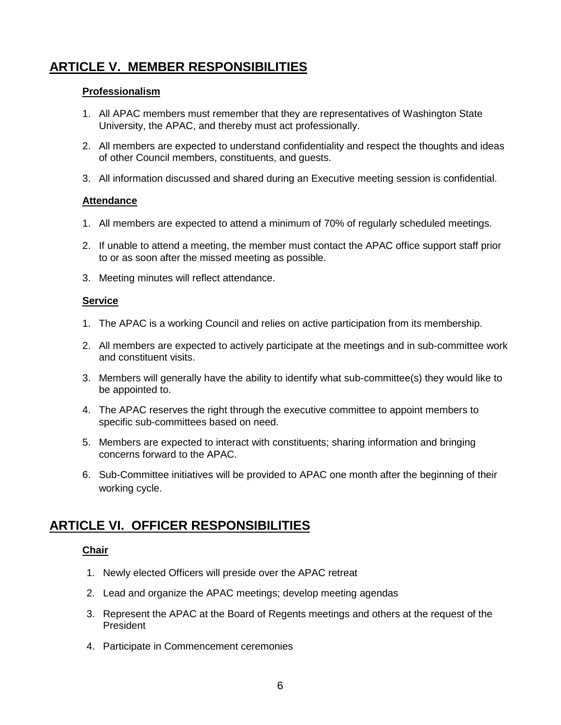# **ARTICLE V. MEMBER RESPONSIBILITIES**

### **Professionalism**

- 1. All APAC members must remember that they are representatives of Washington State University, the APAC, and thereby must act professionally.
- 2. All members are expected to understand confidentiality and respect the thoughts and ideas of other Council members, constituents, and guests.
- 3. All information discussed and shared during an Executive meeting session is confidential.

### **Attendance**

- 1. All members are expected to attend a minimum of 70% of regularly scheduled meetings.
- 2. If unable to attend a meeting, the member must contact the APAC office support staff prior to or as soon after the missed meeting as possible.
- 3. Meeting minutes will reflect attendance.

### **Service**

- 1. The APAC is a working Council and relies on active participation from its membership.
- 2. All members are expected to actively participate at the meetings and in sub-committee work and constituent visits.
- 3. Members will generally have the ability to identify what sub-committee(s) they would like to be appointed to.
- 4. The APAC reserves the right through the executive committee to appoint members to specific sub-committees based on need.
- 5. Members are expected to interact with constituents; sharing information and bringing concerns forward to the APAC.
- 6. Sub-Committee initiatives will be provided to APAC one month after the beginning of their working cycle.

## **ARTICLE VI. OFFICER RESPONSIBILITIES**

### **Chair**

- 1. Newly elected Officers will preside over the APAC retreat
- 2. Lead and organize the APAC meetings; develop meeting agendas
- 3. Represent the APAC at the Board of Regents meetings and others at the request of the President
- 4. Participate in Commencement ceremonies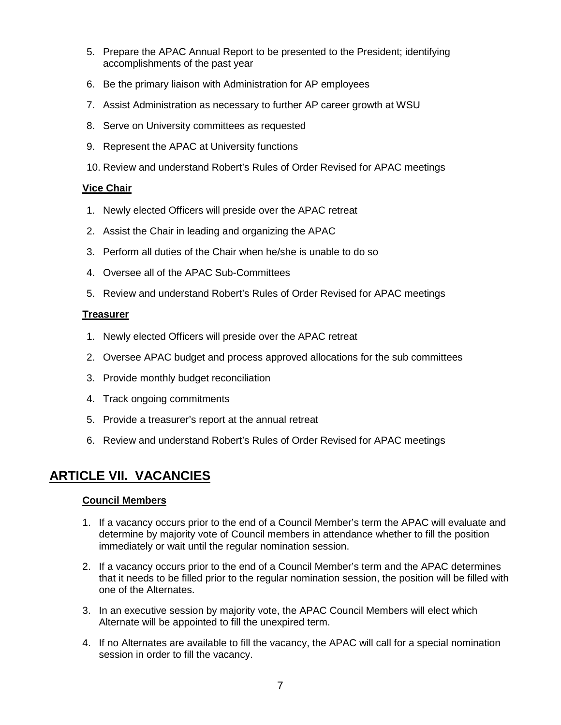- 5. Prepare the APAC Annual Report to be presented to the President; identifying accomplishments of the past year
- 6. Be the primary liaison with Administration for AP employees
- 7. Assist Administration as necessary to further AP career growth at WSU
- 8. Serve on University committees as requested
- 9. Represent the APAC at University functions
- 10. Review and understand Robert's Rules of Order Revised for APAC meetings

## **Vice Chair**

- 1. Newly elected Officers will preside over the APAC retreat
- 2. Assist the Chair in leading and organizing the APAC
- 3. Perform all duties of the Chair when he/she is unable to do so
- 4. Oversee all of the APAC Sub-Committees
- 5. Review and understand Robert's Rules of Order Revised for APAC meetings

## **Treasurer**

- 1. Newly elected Officers will preside over the APAC retreat
- 2. Oversee APAC budget and process approved allocations for the sub committees
- 3. Provide monthly budget reconciliation
- 4. Track ongoing commitments
- 5. Provide a treasurer's report at the annual retreat
- 6. Review and understand Robert's Rules of Order Revised for APAC meetings

## **ARTICLE VII. VACANCIES**

### **Council Members**

- 1. If a vacancy occurs prior to the end of a Council Member's term the APAC will evaluate and determine by majority vote of Council members in attendance whether to fill the position immediately or wait until the regular nomination session.
- 2. If a vacancy occurs prior to the end of a Council Member's term and the APAC determines that it needs to be filled prior to the regular nomination session, the position will be filled with one of the Alternates.
- 3. In an executive session by majority vote, the APAC Council Members will elect which Alternate will be appointed to fill the unexpired term.
- 4. If no Alternates are available to fill the vacancy, the APAC will call for a special nomination session in order to fill the vacancy.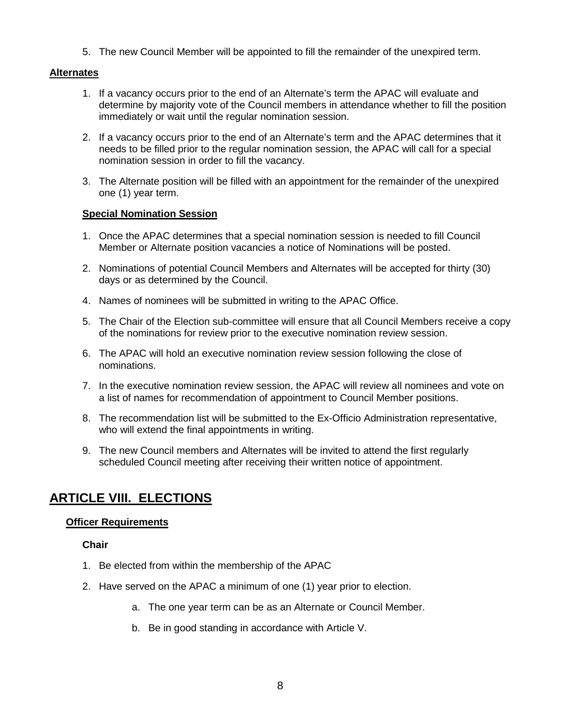5. The new Council Member will be appointed to fill the remainder of the unexpired term.

### **Alternates**

- 1. If a vacancy occurs prior to the end of an Alternate's term the APAC will evaluate and determine by majority vote of the Council members in attendance whether to fill the position immediately or wait until the regular nomination session.
- 2. If a vacancy occurs prior to the end of an Alternate's term and the APAC determines that it needs to be filled prior to the regular nomination session, the APAC will call for a special nomination session in order to fill the vacancy.
- 3. The Alternate position will be filled with an appointment for the remainder of the unexpired one (1) year term.

### **Special Nomination Session**

- 1. Once the APAC determines that a special nomination session is needed to fill Council Member or Alternate position vacancies a notice of Nominations will be posted.
- 2. Nominations of potential Council Members and Alternates will be accepted for thirty (30) days or as determined by the Council.
- 4. Names of nominees will be submitted in writing to the APAC Office.
- 5. The Chair of the Election sub-committee will ensure that all Council Members receive a copy of the nominations for review prior to the executive nomination review session.
- 6. The APAC will hold an executive nomination review session following the close of nominations.
- 7. In the executive nomination review session, the APAC will review all nominees and vote on a list of names for recommendation of appointment to Council Member positions.
- 8. The recommendation list will be submitted to the Ex-Officio Administration representative, who will extend the final appointments in writing.
- 9. The new Council members and Alternates will be invited to attend the first regularly scheduled Council meeting after receiving their written notice of appointment.

## **ARTICLE VIII. ELECTIONS**

### **Officer Requirements**

### **Chair**

- 1. Be elected from within the membership of the APAC
- 2. Have served on the APAC a minimum of one (1) year prior to election.
	- a. The one year term can be as an Alternate or Council Member.
	- b. Be in good standing in accordance with Article V.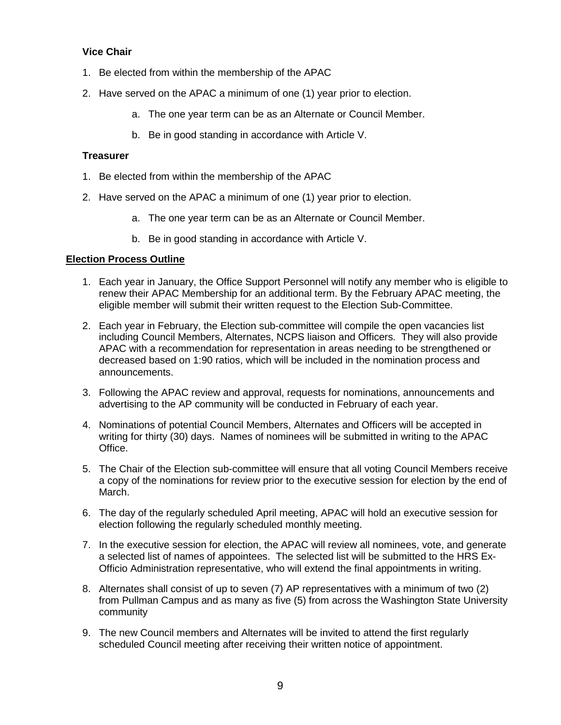## **Vice Chair**

- 1. Be elected from within the membership of the APAC
- 2. Have served on the APAC a minimum of one (1) year prior to election.
	- a. The one year term can be as an Alternate or Council Member.
	- b. Be in good standing in accordance with Article V.

### **Treasurer**

- 1. Be elected from within the membership of the APAC
- 2. Have served on the APAC a minimum of one (1) year prior to election.
	- a. The one year term can be as an Alternate or Council Member.
	- b. Be in good standing in accordance with Article V.

### **Election Process Outline**

- 1. Each year in January, the Office Support Personnel will notify any member who is eligible to renew their APAC Membership for an additional term. By the February APAC meeting, the eligible member will submit their written request to the Election Sub-Committee.
- 2. Each year in February, the Election sub-committee will compile the open vacancies list including Council Members, Alternates, NCPS liaison and Officers. They will also provide APAC with a recommendation for representation in areas needing to be strengthened or decreased based on 1:90 ratios, which will be included in the nomination process and announcements.
- 3. Following the APAC review and approval, requests for nominations, announcements and advertising to the AP community will be conducted in February of each year.
- 4. Nominations of potential Council Members, Alternates and Officers will be accepted in writing for thirty (30) days. Names of nominees will be submitted in writing to the APAC Office.
- 5. The Chair of the Election sub-committee will ensure that all voting Council Members receive a copy of the nominations for review prior to the executive session for election by the end of March.
- 6. The day of the regularly scheduled April meeting, APAC will hold an executive session for election following the regularly scheduled monthly meeting.
- 7. In the executive session for election, the APAC will review all nominees, vote, and generate a selected list of names of appointees. The selected list will be submitted to the HRS Ex-Officio Administration representative, who will extend the final appointments in writing.
- 8. Alternates shall consist of up to seven (7) AP representatives with a minimum of two (2) from Pullman Campus and as many as five (5) from across the Washington State University community
- 9. The new Council members and Alternates will be invited to attend the first regularly scheduled Council meeting after receiving their written notice of appointment.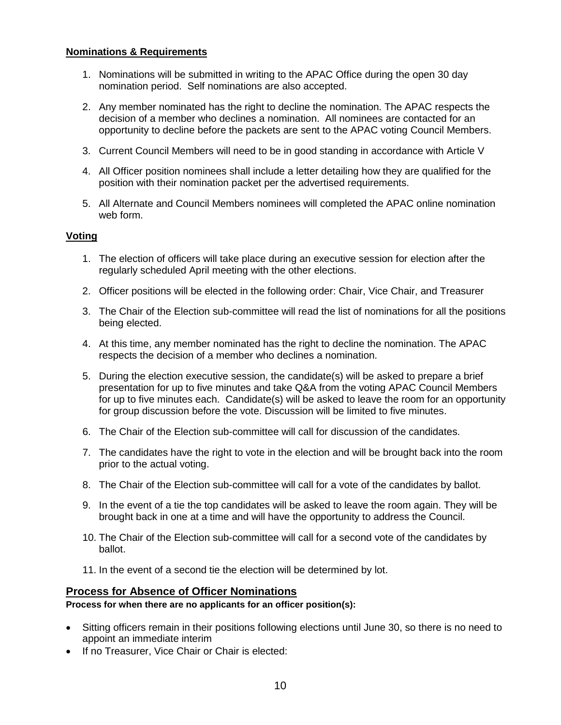### **Nominations & Requirements**

- 1. Nominations will be submitted in writing to the APAC Office during the open 30 day nomination period. Self nominations are also accepted.
- 2. Any member nominated has the right to decline the nomination. The APAC respects the decision of a member who declines a nomination. All nominees are contacted for an opportunity to decline before the packets are sent to the APAC voting Council Members.
- 3. Current Council Members will need to be in good standing in accordance with Article V
- 4. All Officer position nominees shall include a letter detailing how they are qualified for the position with their nomination packet per the advertised requirements.
- 5. All Alternate and Council Members nominees will completed the APAC online nomination web form.

### **Voting**

- 1. The election of officers will take place during an executive session for election after the regularly scheduled April meeting with the other elections.
- 2. Officer positions will be elected in the following order: Chair, Vice Chair, and Treasurer
- 3. The Chair of the Election sub-committee will read the list of nominations for all the positions being elected.
- 4. At this time, any member nominated has the right to decline the nomination. The APAC respects the decision of a member who declines a nomination.
- 5. During the election executive session, the candidate(s) will be asked to prepare a brief presentation for up to five minutes and take Q&A from the voting APAC Council Members for up to five minutes each. Candidate(s) will be asked to leave the room for an opportunity for group discussion before the vote. Discussion will be limited to five minutes.
- 6. The Chair of the Election sub-committee will call for discussion of the candidates.
- 7. The candidates have the right to vote in the election and will be brought back into the room prior to the actual voting.
- 8. The Chair of the Election sub-committee will call for a vote of the candidates by ballot.
- 9. In the event of a tie the top candidates will be asked to leave the room again. They will be brought back in one at a time and will have the opportunity to address the Council.
- 10. The Chair of the Election sub-committee will call for a second vote of the candidates by ballot.
- 11. In the event of a second tie the election will be determined by lot.

### **Process for Absence of Officer Nominations**

### **Process for when there are no applicants for an officer position(s):**

- Sitting officers remain in their positions following elections until June 30, so there is no need to appoint an immediate interim
- If no Treasurer, Vice Chair or Chair is elected: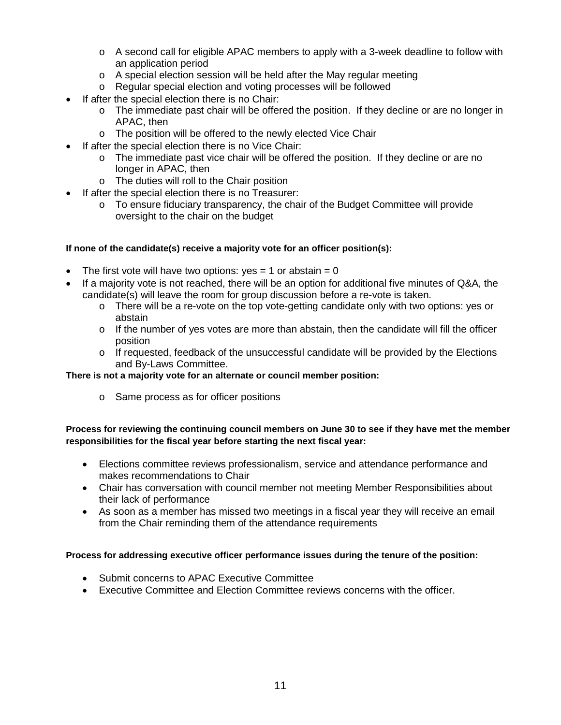- $\circ$  A second call for eligible APAC members to apply with a 3-week deadline to follow with an application period
- o A special election session will be held after the May regular meeting
- o Regular special election and voting processes will be followed
- If after the special election there is no Chair:
	- o The immediate past chair will be offered the position. If they decline or are no longer in APAC, then
	- o The position will be offered to the newly elected Vice Chair
- If after the special election there is no Vice Chair:
	- $\circ$  The immediate past vice chair will be offered the position. If they decline or are no longer in APAC, then
	- o The duties will roll to the Chair position
	- If after the special election there is no Treasurer:
		- $\circ$  To ensure fiduciary transparency, the chair of the Budget Committee will provide oversight to the chair on the budget

### **If none of the candidate(s) receive a majority vote for an officer position(s):**

- The first vote will have two options:  $yes = 1$  or abstain = 0
- If a majority vote is not reached, there will be an option for additional five minutes of Q&A, the candidate(s) will leave the room for group discussion before a re-vote is taken.
	- o There will be a re-vote on the top vote-getting candidate only with two options: yes or abstain
	- $\circ$  If the number of yes votes are more than abstain, then the candidate will fill the officer position
	- $\circ$  If requested, feedback of the unsuccessful candidate will be provided by the Elections and By-Laws Committee.

### **There is not a majority vote for an alternate or council member position:**

o Same process as for officer positions

### **Process for reviewing the continuing council members on June 30 to see if they have met the member responsibilities for the fiscal year before starting the next fiscal year:**

- Elections committee reviews professionalism, service and attendance performance and makes recommendations to Chair
- Chair has conversation with council member not meeting Member Responsibilities about their lack of performance
- As soon as a member has missed two meetings in a fiscal year they will receive an email from the Chair reminding them of the attendance requirements

### **Process for addressing executive officer performance issues during the tenure of the position:**

- Submit concerns to APAC Executive Committee
- Executive Committee and Election Committee reviews concerns with the officer.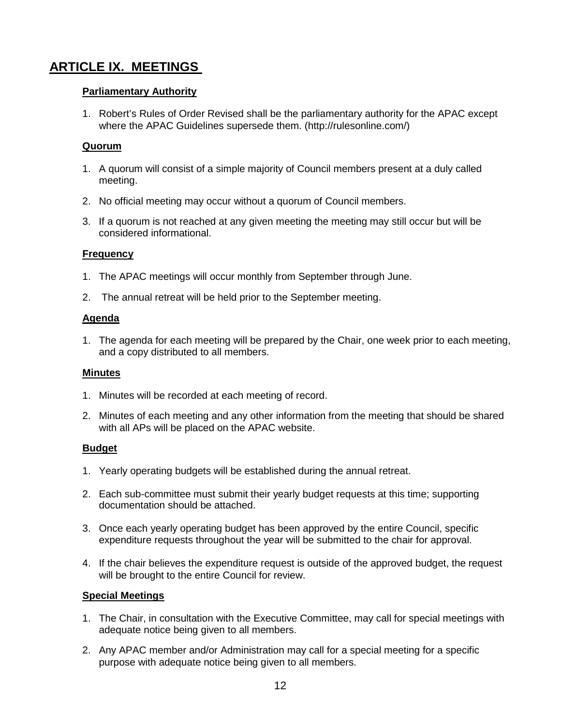# **ARTICLE IX. MEETINGS**

### **Parliamentary Authority**

1. Robert's Rules of Order Revised shall be the parliamentary authority for the APAC except where the APAC Guidelines supersede them. (http://rulesonline.com/)

## **Quorum**

- 1. A quorum will consist of a simple majority of Council members present at a duly called meeting.
- 2. No official meeting may occur without a quorum of Council members.
- 3. If a quorum is not reached at any given meeting the meeting may still occur but will be considered informational.

## **Frequency**

- 1. The APAC meetings will occur monthly from September through June.
- 2. The annual retreat will be held prior to the September meeting.

### **Agenda**

1. The agenda for each meeting will be prepared by the Chair, one week prior to each meeting, and a copy distributed to all members.

### **Minutes**

- 1. Minutes will be recorded at each meeting of record.
- 2. Minutes of each meeting and any other information from the meeting that should be shared with all APs will be placed on the APAC website.

## **Budget**

- 1. Yearly operating budgets will be established during the annual retreat.
- 2. Each sub-committee must submit their yearly budget requests at this time; supporting documentation should be attached.
- 3. Once each yearly operating budget has been approved by the entire Council, specific expenditure requests throughout the year will be submitted to the chair for approval.
- 4. If the chair believes the expenditure request is outside of the approved budget, the request will be brought to the entire Council for review.

## **Special Meetings**

- 1. The Chair, in consultation with the Executive Committee, may call for special meetings with adequate notice being given to all members.
- 2. Any APAC member and/or Administration may call for a special meeting for a specific purpose with adequate notice being given to all members.